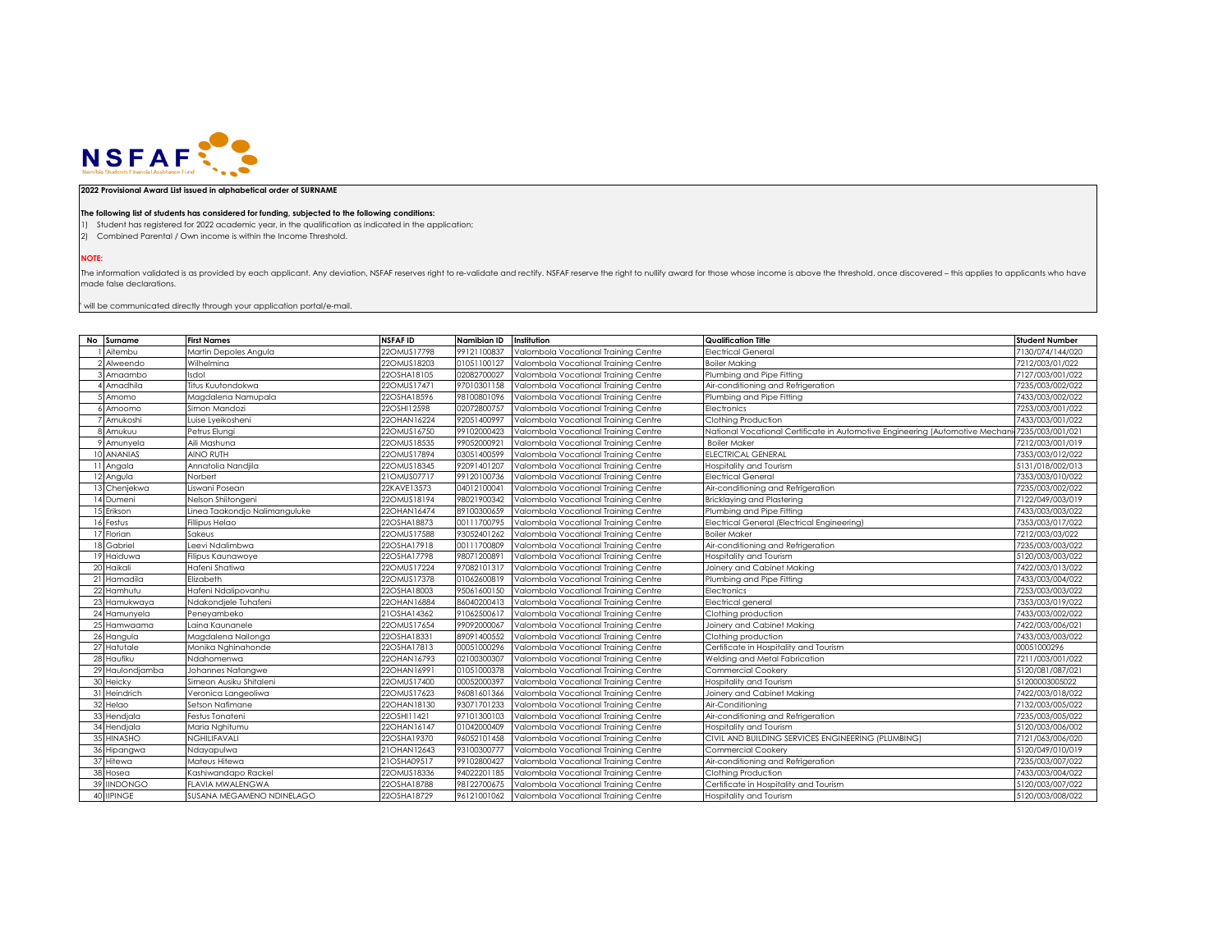

## **2022 Provisional Award List issued in alphabetical order of SURNAME**

## **The following list of students has considered for funding, subjected to the following conditions:**

1) Student has registered for 2022 academic year, in the qualification as indicated in the application;

2) Combined Parental / Own income is within the Income Threshold.

**NOTE:**

The information validated is as provided by each applicant. Any deviation, NSFAF reserves right to re-validate and rectify. NSFAF reserve the right to nullify award for those whose income is above the threshold, once disco made false declarations.

 $"$  will be communicated directly through your application portal/e-mail.

| No Surname      | <b>First Names</b>            | <b>NSFAFID</b> | Namibian ID | Institution                          | <b>Qualification Title</b>                                                    | <b>Student Number</b> |
|-----------------|-------------------------------|----------------|-------------|--------------------------------------|-------------------------------------------------------------------------------|-----------------------|
| Aitembu         | Martin Depoles Angula         | 22OMUS17798    | 99121100837 | Valombola Vocational Training Centre | Electrical General                                                            | 7130/074/144/020      |
| 2 Alweendo      | Wilhelmina                    | 22OMUS18203    | 01051100127 | Valombola Vocational Training Centre | <b>Boiler Making</b>                                                          | 7212/003/01/022       |
| Amaambo         | Isdol                         | 22OSHA18105    | 02082700027 | Valombola Vocational Training Centre | Plumbing and Pipe Fitting                                                     | 7127/003/001/022      |
| Amadhila        | Titus Kuutondokwa             | 22OMUS17471    | 97010301158 | Valombola Vocational Training Centre | Air-conditioning and Refrigeration                                            | 7235/003/002/022      |
| Amomo           | Magdalena Namupala            | 22OSHA18596    | 98100801096 | Valombola Vocational Training Centre | Plumbing and Pipe Fitting                                                     | 7433/003/002/022      |
| Amoomo          | Simon Mandozi                 | 22OSHI12598    | 02072800757 | Valombola Vocational Training Centre | Electronics                                                                   | 7253/003/001/022      |
| Amukoshi        | Luise Lyeikosheni             | 22OHAN16224    | 92051400997 | Valombola Vocational Training Centre | Clothing Production                                                           | 7433/003/001/022      |
| 8 Amukuu        | Petrus Elungi                 | 22OMUS16750    | 99102000423 | Valombola Vocational Training Centre | National Vocational Certificate in Automotive Engineering (Automotive Mechani | 7235/003/001/021      |
| Amunyela        | Aili Mashuna                  | 22OMUS18535    | 99052000921 | Valombola Vocational Training Centre | <b>Boiler Maker</b>                                                           | 7212/003/001/019      |
| 0 ANANIAS       | <b>AINO RUTH</b>              | 22OMUS17894    | 03051400599 | Valombola Vocational Training Centre | ELECTRICAL GENERAL                                                            | 7353/003/012/022      |
| 1 Angala        | Annatolia Nandjila            | 22OMUS18345    | 92091401207 | Valombola Vocational Training Centre | Hospitality and Tourism                                                       | 5131/018/002/013      |
| 2 Angula        | Norbert                       | 21OMUS07717    | 99120100736 | Valombola Vocational Training Centre | <b>Electrical General</b>                                                     | 7353/003/010/022      |
| 3 Chenjekwa     | Liswani Posean                | 22KAVE13573    | 04012100041 | Valombola Vocational Training Centre | Air-conditioning and Refrigeration                                            | 7235/003/002/022      |
| l 4 Dumeni      | Nelson Shiitongeni            | 22OMUS18194    | 98021900342 | Valombola Vocational Training Centre | Bricklaying and Plastering                                                    | 7122/049/003/019      |
| 5 Erikson       | Linea Taakondjo Nalimanguluke | 22OHAN16474    | 89100300659 | Valombola Vocational Training Centre | Plumbing and Pipe Fitting                                                     | 7433/003/003/022      |
| 16 Festus       | <b>Fillipus Helao</b>         | 22OSHA18873    | 00111700795 | Valombola Vocational Training Centre | Electrical General (Electrical Engineering)                                   | 7353/003/017/022      |
| 17 Florian      | Sakeus                        | 22OMUS17588    | 93052401262 | Valombola Vocational Training Centre | <b>Boiler Maker</b>                                                           | 7212/003/03/022       |
| 18 Gabriel      | Leevi Ndalimbwa               | 22OSHA17918    | 00111700809 | Valombola Vocational Training Centre | Air-conditioning and Refrigeration                                            | 7235/003/003/022      |
| 19 Haiduwa      | <b>Filipus Kaunawoye</b>      | 22OSHA17798    | 98071200891 | Valombola Vocational Training Centre | Hospitality and Tourism                                                       | 5120/003/003/022      |
| 20 Haikali      | Hafeni Shatiwa                | 22OMUS17224    | 97082101317 | Valombola Vocational Training Centre | Joinery and Cabinet Making                                                    | 7422/003/013/022      |
| 21 Hamadila     | Elizabeth                     | 22OMUS17378    | 01062600819 | Valombola Vocational Training Centre | Plumbing and Pipe Fitting                                                     | 7433/003/004/022      |
| 22 Hamhutu      | Hafeni Ndalipovanhu           | 22OSHA18003    | 95061600150 | Valombola Vocational Training Centre | Electronics                                                                   | 7253/003/003/022      |
| 23 Hamukwaya    | Ndakondjele Tuhafeni          | 22OHAN16884    | 86040200413 | Valombola Vocational Training Centre | Electrical general                                                            | 7353/003/019/022      |
| 24 Hamunyela    | Peneyambeko                   | 21OSHA14362    | 91062500617 | Valombola Vocational Training Centre | Clothing production                                                           | 7433/003/002/022      |
| 25 Hamwaama     | Laina Kaunanele               | 22OMUS17654    | 99092000067 | Valombola Vocational Training Centre | Joinery and Cabinet Making                                                    | 7422/003/006/021      |
| 26 Hangula      | Magdalena Nailonga            | 22OSHA18331    | 89091400552 | Valombola Vocational Training Centre | Clothing production                                                           | 7433/003/003/022      |
| 27 Hatutale     | Monika Nghinahonde            | 22OSHA17813    | 00051000296 | Valombola Vocational Training Centre | Certificate in Hospitality and Tourism                                        | 00051000296           |
| 28 Haufiku      | Ndahomenwa                    | 22OHAN16793    | 02100300307 | Valombola Vocational Training Centre | Welding and Metal Fabrication                                                 | 7211/003/001/022      |
| 29 Haulondjamba | Johannes Natangwe             | 22OHAN1699     | 01051000378 | Valombola Vocational Training Centre | Commercial Cookery                                                            | 5120/081/087/021      |
| 30 Heicky       | Simeon Ausiku Shitaleni       | 22OMUS17400    | 00052000397 | Valombola Vocational Training Centre | Hospitality and Tourism                                                       | 51200003005022        |
| 31 Heindrich    | Veronica Langeoliwa           | 22OMUS17623    | 96081601366 | Valombola Vocational Training Centre | Joinery and Cabinet Making                                                    | 7422/003/018/022      |
| 32 Helao        | Setson Nafimane               | 22OHAN18130    | 93071701233 | Valombola Vocational Training Centre | Air-Conditioning                                                              | 7132/003/005/022      |
| 33 Hendjala     | Festus Tonateni               | 22OSHI11421    | 97101300103 | Valombola Vocational Trainina Centre | Air-conditioning and Refrigeration                                            | 7235/003/005/022      |
| 34 Hendjala     | Maria Nghitumu                | 22OHAN16147    | 01042000409 | Valombola Vocational Training Centre | Hospitality and Tourism                                                       | 5120/003/006/002      |
| 35 HINASHO      | NGHILIFAVALI                  | 22OSHA19370    | 96052101458 | Valombola Vocational Training Centre | CIVIL AND BUILDING SERVICES ENGINEERING (PLUMBING)                            | 7121/063/006/020      |
| 36 Hipangwa     | Ndayapulwa                    | 21OHAN12643    | 93100300777 | Valombola Vocational Training Centre | Commercial Cookerv                                                            | 5120/049/010/019      |
| 37 Hitewa       | Mateus Hitewa                 | 21OSHA09517    | 99102800427 | Valombola Vocational Training Centre | Air-conditioning and Refrigeration                                            | 7235/003/007/022      |
| 38 Hosea        | Kashiwandapo Rackel           | 22OMUS18336    | 94022201185 | Valombola Vocational Training Centre | Clothing Production                                                           | 7433/003/004/022      |
| 39 IINDONGO     | <b>FLAVIA MWALENGWA</b>       | 22OSHA18788    | 98122700675 | Valombola Vocational Training Centre | Certificate in Hospitality and Tourism                                        | 5120/003/007/022      |
| 40 IIPINGE      | SUSANA MEGAMENO NDINELAGO     | 22OSHA18729    | 96121001062 | Valombola Vocational Training Centre | Hospitality and Tourism                                                       | 5120/003/008/022      |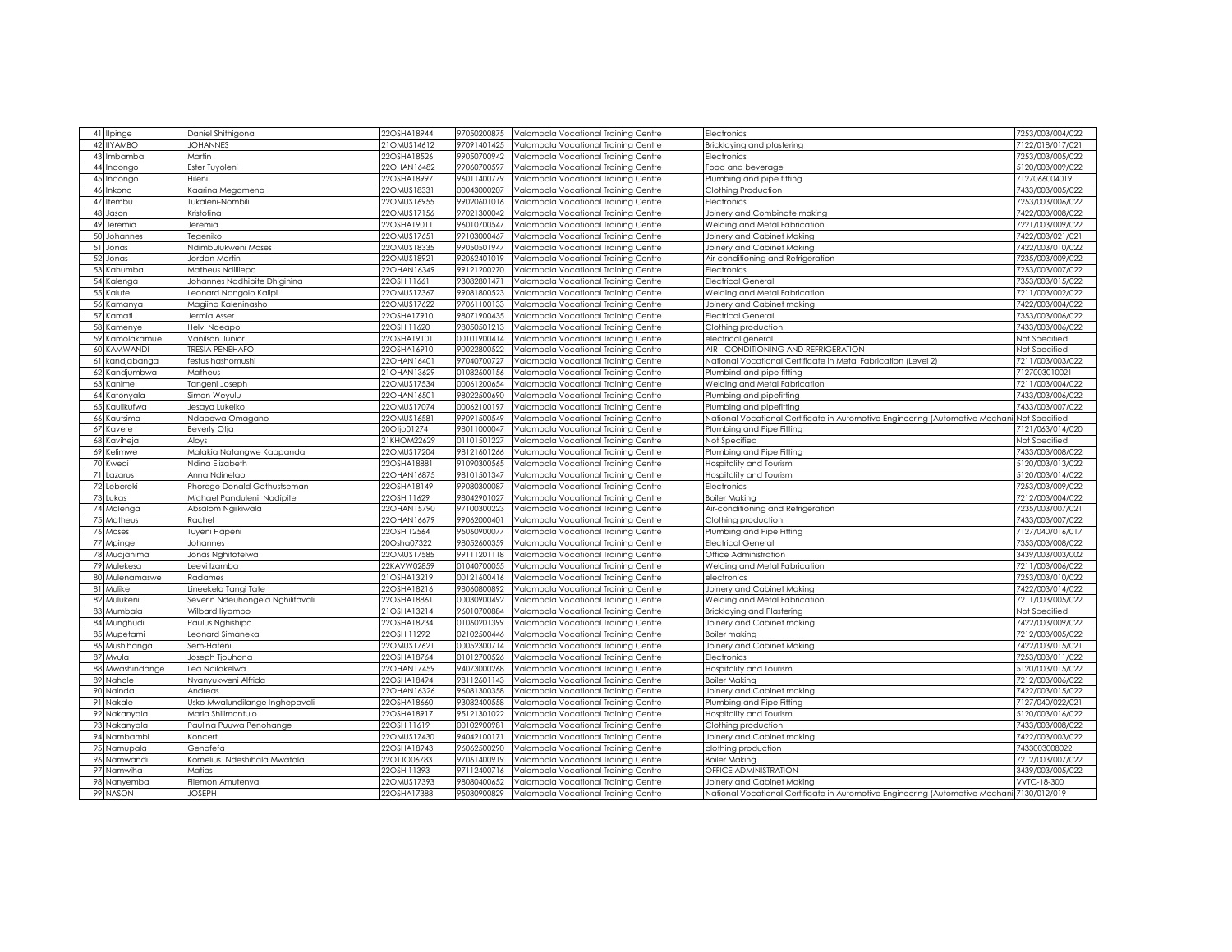| 41 Ilpinge             | Daniel Shithigona                                                                                                                                                                  | 22OSHA18944                | 97050200875 | Valombola Vocational Training Centre | Electronics                                                                                | 7253/003/004/022 |
|------------------------|------------------------------------------------------------------------------------------------------------------------------------------------------------------------------------|----------------------------|-------------|--------------------------------------|--------------------------------------------------------------------------------------------|------------------|
| 42<br><b>IIYAMBO</b>   | <b>JOHANNES</b>                                                                                                                                                                    | 21OMUS14612                | 97091401425 | Valombola Vocational Training Centre | Bricklaying and plastering                                                                 | 7122/018/017/02  |
| 43<br>Imbamba          | Martin                                                                                                                                                                             | 22OSHA18526                | 99050700942 | Valombola Vocational Training Centre | Electronics                                                                                | 7253/003/005/022 |
| 44<br>Indongo          | Ester Tuyoleni                                                                                                                                                                     | 22OHAN16482                | 99060700597 | Valombola Vocational Training Centre | Food and beverage                                                                          | 5120/003/009/022 |
| ndongo<br>45           | Hileni                                                                                                                                                                             | 22OSHA18997                | 96011400779 | Valombola Vocational Training Centre | Plumbing and pipe fitting                                                                  | 7127066004019    |
| 46<br>Inkono           | Kaarina Megameno                                                                                                                                                                   | 22OMUS18331                | 00043000207 | Valombola Vocational Training Centre | Clothing Production                                                                        | 7433/003/005/022 |
| 47<br>tembu            | ukaleni-Nombili                                                                                                                                                                    | 22OMUS16955                | 99020601016 | Valombola Vocational Training Centre | Electronics                                                                                | 7253/003/006/022 |
| 48<br>Jason            | <ristofina< td=""><td>22OMUS17156</td><td>97021300042</td><td>/alombola Vocational Training Centre</td><td>Joinery and Combinate making</td><td>7422/003/008/022</td></ristofina<> | 22OMUS17156                | 97021300042 | /alombola Vocational Training Centre | Joinery and Combinate making                                                               | 7422/003/008/022 |
| 49<br>Jeremia          | leremia                                                                                                                                                                            | 22OSHA1901 <sup>-</sup>    | 96010700547 | Valombola Vocational Training Centre | Welding and Metal Fabrication                                                              | 7221/003/009/022 |
| 50<br>Johannes         | legeniko                                                                                                                                                                           | 22OMUS17651                | 99103000467 | /alombola Vocational Training Centre | Joinery and Cabinet Making                                                                 | 7422/003/021/021 |
| 51<br>Jonas            | Ndimbulukweni Moses                                                                                                                                                                | 22OMUS18335                | 99050501947 | Valombola Vocational Training Centre | Joinery and Cabinet Making                                                                 | 7422/003/010/022 |
| 52<br>Jonas            | Jordan Martin                                                                                                                                                                      | 22OMUS18921                | 92062401019 | Valombola Vocational Training Centre | Air-conditioning and Refrigeration                                                         | 7235/003/009/022 |
| Kahumba<br>53          | Matheus Ndililepo                                                                                                                                                                  | 22OHAN16349                | 99121200270 | Valombola Vocational Trainina Centre | Electronics                                                                                | 7253/003/007/022 |
| 54<br>Kalenga          | Johannes Nadhipite Dhiginina                                                                                                                                                       | 22OSHI11661                | 93082801471 | Valombola Vocational Training Centre | <b>Electrical General</b>                                                                  | 7353/003/015/022 |
| 55<br>Kalute           | eonard Nangolo Kalipi                                                                                                                                                              | 22OMUS17367                | 99081800523 | Valombola Vocational Training Centre | Welding and Metal Fabrication                                                              | 7211/003/002/022 |
| 56 Kamanya             | Magiina Kaleninasho                                                                                                                                                                | 22OMUS17622                | 97061100133 | Valombola Vocational Training Centre | Joinery and Cabinet making                                                                 | 7422/003/004/022 |
| 57 Kamati              | Jermia Asser                                                                                                                                                                       | 22OSHA17910                | 98071900435 | Valombola Vocational Training Centre | <b>Electrical General</b>                                                                  | 7353/003/006/022 |
| 58<br>Kamenye          | Helvi Ndeapo                                                                                                                                                                       | 22OSHI11620                | 98050501213 | Valombola Vocational Training Centre | Clothing production                                                                        | 7433/003/006/022 |
| 59<br>Kamolakamue      | Vanilson Junior                                                                                                                                                                    | 22OSHA19101                | 00101900414 | Valombola Vocational Training Centre | electrical general                                                                         | Not Specified    |
| KAMWANDI<br>60         | <b>RESIA PENEHAFO</b>                                                                                                                                                              | 22OSHA16910                | 90022800522 | Valombola Vocational Training Centre | AIR - CONDITIONING AND REFRIGERATION                                                       | Not Specified    |
| 61<br>kandjabanga      | festus hashomushi                                                                                                                                                                  | 22OHAN16401                | 97040700727 | Valombola Vocational Training Centre | National Vocational Certificate in Metal Fabrication (Level 2)                             | 7211/003/003/022 |
| Kandjumbwa             | Matheus                                                                                                                                                                            | 21OHAN13629                | 01082600156 | Valombola Vocational Training Centre | Plumbind and pipe fitting                                                                  | 7127003010021    |
| Kanime                 |                                                                                                                                                                                    | 22OMUS17534                | 00061200654 |                                      | Welding and Metal Fabrication                                                              | 7211/003/004/022 |
| Katonyala              | Tangeni Joseph<br>Simon Weyulu                                                                                                                                                     | 22OHAN1650                 | 98022500690 | Valombola Vocational Training Centre | Plumbing and pipefitting                                                                   | 7433/003/006/022 |
|                        |                                                                                                                                                                                    |                            | 00062100197 | Valombola Vocational Training Centre |                                                                                            | 7433/003/007/022 |
| Kaulikufwa<br>Kautsima | Jesaya Lukeiko                                                                                                                                                                     | 22OMUS17074<br>22OMUS16581 | 99091500549 | Valombola Vocational Training Centre | Plumbing and pipefitting                                                                   |                  |
| 66                     | <b>Ndapewa Omagano</b>                                                                                                                                                             |                            | 98011000047 | Valombola Vocational Training Centre | National Vocational Certificate in Automotive Engineering (Automotive Mechan               | Not Specified    |
| (avere                 | Beverly Otja                                                                                                                                                                       | 20Otjo01274                |             | /alombola Vocational Training Centre | Plumbing and Pipe Fitting                                                                  | 7121/063/014/020 |
| Kaviheja<br>68         | Aloys                                                                                                                                                                              | 21KHOM22629                | 01101501227 | Valombola Vocational Training Centre | Not Specified                                                                              | Not Specified    |
| Kelimwe                | Malakia Natangwe Kaapanda                                                                                                                                                          | 22OMUS17204                | 98121601266 | Valombola Vocational Training Centre | Plumbing and Pipe Fitting                                                                  | 7433/003/008/022 |
| (wedi                  | Ndina Elizabeth                                                                                                                                                                    | 22OSHA18881                | 91090300565 | Valombola Vocational Training Centre | Hospitality and Tourism                                                                    | 5120/003/013/022 |
| Lazarus                | Anna Ndinelao                                                                                                                                                                      | 22OHAN16875                | 98101501347 | Valombola Vocational Training Centre | Iospitality and Tourism                                                                    | 5120/003/014/022 |
| Lebereki<br>72         | Phorego Donald Gothustseman                                                                                                                                                        | 22OSHA18149                | 99080300087 | Valombola Vocational Training Centre | Electronics                                                                                | 7253/003/009/022 |
| Lukas                  | Michael Panduleni Nadipite                                                                                                                                                         | 22OSHI11629                | 98042901027 | Valombola Vocational Training Centre | <b>Boiler Making</b>                                                                       | 7212/003/004/022 |
| Malenga<br>74          | Absalom Ngiikiwala                                                                                                                                                                 | 22OHAN15790                | 97100300223 | Valombola Vocational Training Centre | Air-conditioning and Refrigeration                                                         | 7235/003/007/02  |
| Matheus                | रेachel                                                                                                                                                                            | 22OHAN16679                | 99062000401 | Valombola Vocational Training Centre | Clothing production                                                                        | 7433/003/007/022 |
| 76<br>Moses            | luyeni Hapeni                                                                                                                                                                      | 22OSHI12564                | 95060900077 | /alombola Vocational Training Centre | Plumbing and Pipe Fitting                                                                  | 7127/040/016/017 |
| 77<br>Mpinge           | Johannes                                                                                                                                                                           | 20Osha07322                | 98052600359 | Valombola Vocational Training Centre | <b>Electrical General</b>                                                                  | 7353/003/008/022 |
| 78<br>Mudjanima        | Jonas Nghitotelwa                                                                                                                                                                  | 22OMUS17585                | 99111201118 | Valombola Vocational Training Centre | Office Administration                                                                      | 3439/003/003/002 |
| Mulekesa               | Leevi Izamba                                                                                                                                                                       | 22KAVW02859                | 01040700055 | Valombola Vocational Training Centre | Welding and Metal Fabrication                                                              | 7211/003/006/022 |
| Mulenamaswe<br>80      | Radames                                                                                                                                                                            | 21OSHA13219                | 00121600416 | /alombola Vocational Training Centre | electronics                                                                                | 7253/003/010/022 |
| Mulike<br>81           | ineekela Tangi Tate                                                                                                                                                                | 22OSHA18216                | 98060800892 | Valombola Vocational Training Centre | Joinery and Cabinet Making                                                                 | 7422/003/014/022 |
| 82<br>Mulukeni         | Severin Ndeuhongela Nghilifavali                                                                                                                                                   | 22OSHA18861                | 00030900492 | Valombola Vocational Training Centre | Welding and Metal Fabrication                                                              | 7211/003/005/022 |
| Mumbala                | Wilbard liyambo                                                                                                                                                                    | 21OSHA13214                | 96010700884 | Valombola Vocational Training Centre | <b>Bricklaying and Plastering</b>                                                          | Not Specified    |
| 84<br>Munghudi         | Paulus Nghishipo                                                                                                                                                                   | 22OSHA18234                | 01060201399 | /alombola Vocational Training Centre | Joinery and Cabinet making                                                                 | 7422/003/009/022 |
| Mupetami               | eonard Simaneka.                                                                                                                                                                   | 22OSHI11292                | 02102500446 | Valombola Vocational Training Centre | Boiler making                                                                              | 7212/003/005/022 |
| Mushihanga             | Sem-Hafeni                                                                                                                                                                         | 22OMUS17621                | 00052300714 | /alombola Vocational Training Centre | Joinery and Cabinet Making                                                                 | 7422/003/015/02  |
| 87<br>Mvula            | Joseph Tjouhona                                                                                                                                                                    | 22OSHA18764                | 01012700526 | Valombola Vocational Training Centre | Electronics                                                                                | 7253/003/011/022 |
| Mwashindange           | ea Ndilokelwa                                                                                                                                                                      | 22OHAN17459                | 94073000268 | Valombola Vocational Training Centre | -lospitality and Tourism                                                                   | 5120/003/015/022 |
| 89 Nahole              | Nyanyukweni Alfrida                                                                                                                                                                | 22OSHA18494                | 98112601143 | Valombola Vocational Training Centre | <b>Boiler Making</b>                                                                       | 7212/003/006/022 |
| 90<br>Nainda           | Andreas                                                                                                                                                                            | 22OHAN16326                | 96081300358 | Valombola Vocational Training Centre | Joinery and Cabinet making                                                                 | 7422/003/015/022 |
| 91<br>Nakale           | Jsko Mwalundilange Inghepavali                                                                                                                                                     | 22OSHA18660                | 93082400558 | /alombola Vocational Trainina Centre | Plumbing and Pipe Fitting                                                                  | 7127/040/022/02  |
| 92 Nakanyala           | Maria Shilimontulo                                                                                                                                                                 | 22OSHA18917                | 95121301022 | Valombola Vocational Training Centre | Hospitality and Tourism                                                                    | 5120/003/016/022 |
| 93<br>Nakanyala        | Paulina Puuwa Penohange                                                                                                                                                            | 22OSHI11619                | 00102900981 | Valombola Vocational Training Centre | Clothing production                                                                        | 7433/003/008/022 |
| 94 Nambambi            | Koncert                                                                                                                                                                            | 22OMUS17430                | 94042100171 | Valombola Vocational Training Centre | Joinery and Cabinet making                                                                 | 7422/003/003/022 |
| 95<br>Namupala         | Genofefa                                                                                                                                                                           | 22OSHA18943                | 96062500290 | Valombola Vocational Training Centre | clothing production                                                                        | 7433003008022    |
| 96<br>Namwandi         | Kornelius Ndeshihala Mwatala                                                                                                                                                       | 22OTJO06783                | 97061400919 | Valombola Vocational Training Centre | <b>Boiler Making</b>                                                                       | 7212/003/007/022 |
| 97<br>Namwiha          | Matias                                                                                                                                                                             | 22OSHI11393                | 97112400716 | Valombola Vocational Training Centre | OFFICE ADMINISTRATION                                                                      | 3439/003/005/022 |
| 98<br>Nanyemba         | Filemon Amutenya                                                                                                                                                                   | 22OMUS17393                | 98080400652 | Valombola Vocational Training Centre | Joinery and Cabinet Making                                                                 | VVTC-18-300      |
| 99 NASON               | <b>JOSEPH</b>                                                                                                                                                                      | 22OSHA17388                | 95030900829 | Valombola Vocational Training Centre | National Vocational Certificate in Automotive Engineering (Automotive Mechani 7130/012/019 |                  |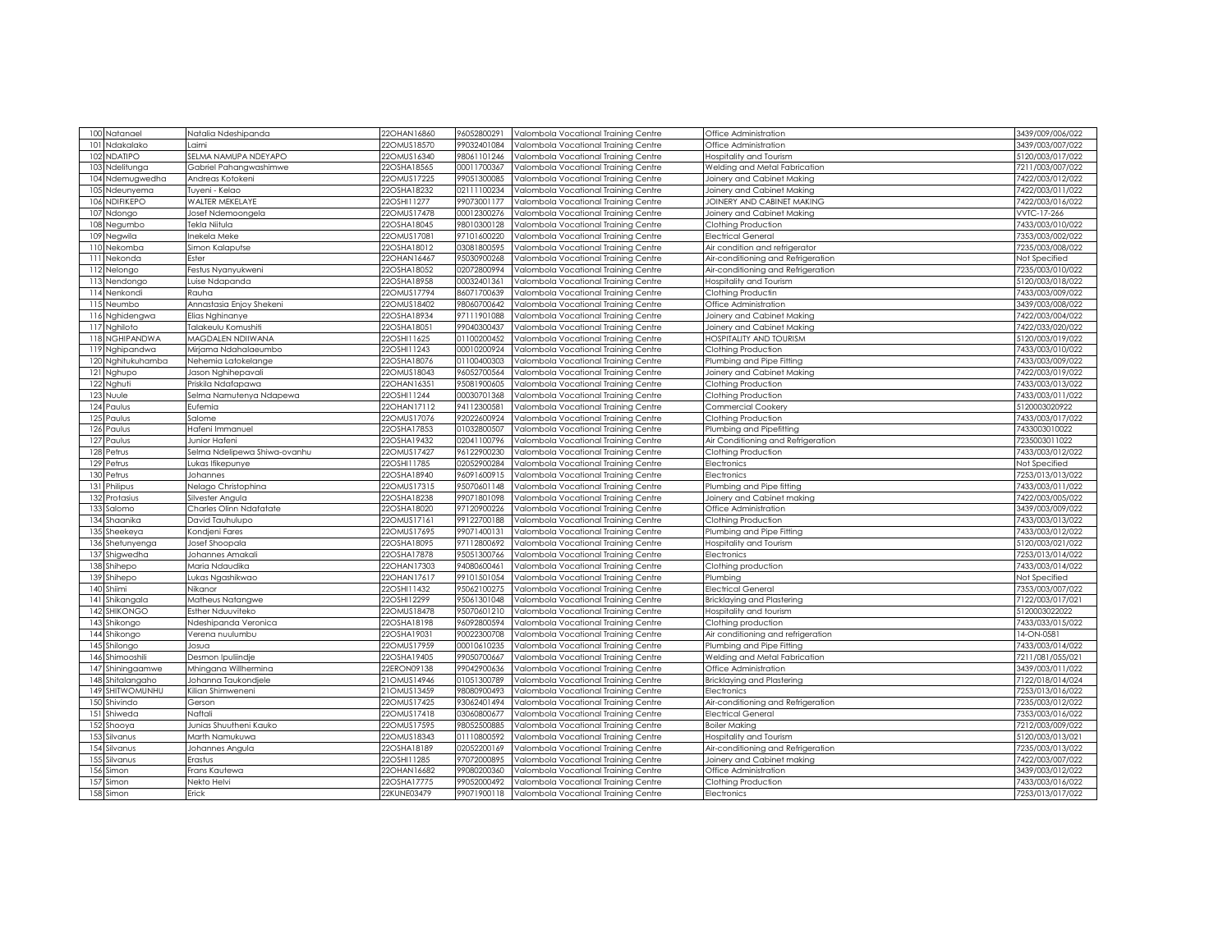| 100 Natanael           | Natalia Ndeshipanda                     | 22OHAN16860                | 96052800291                | Valombola Vocational Training Centre                                         | Office Administration              | 3439/009/006/022                  |
|------------------------|-----------------------------------------|----------------------------|----------------------------|------------------------------------------------------------------------------|------------------------------------|-----------------------------------|
| Ndakalako<br>101       | .aimi                                   | 220MUS18570                | 99032401084                | Valombola Vocational Training Centre                                         | Office Administration              | 3439/003/007/022                  |
| 102<br><b>NDATIPO</b>  | <b>SELMA NAMUPA NDEYAPO</b>             | 22OMUS16340                | 98061101246                | Valombola Vocational Training Centre                                         | <b>Hospitality and Tourism</b>     | 5120/003/017/022                  |
| Ndelitunga<br>103      | Gabriel Pahangwashimwe                  | 22OSHA18565                | 00011700367                | Valombola Vocational Training Centre                                         | Welding and Metal Fabrication      | 7211/003/007/022                  |
| 104<br>Ndemugwedha     | Andreas Kotokeni                        | 22OMUS17225                | 99051300085                | Valombola Vocational Training Centre                                         | Joinery and Cabinet Making         | 7422/003/012/022                  |
| 10.5<br>Ndeunyema      | Tuyeni - Kelao                          | 22OSHA18232                | 02111100234                | Valombola Vocational Training Centre                                         | Joinery and Cabinet Making         | 7422/003/011/022                  |
| NDIFIKEPO<br>106       | WALTER MEKELAYE                         | 22OSHI11277                | 99073001177                | Valombola Vocational Training Centre                                         | JOINERY AND CABINET MAKING         | 7422/003/016/022                  |
| 107<br>Ndongo          | Josef Ndemoongela                       | 22OMUS17478                | 00012300276                | Valombola Vocational Training Centre                                         | Joinery and Cabinet Making         | VVTC-17-266                       |
| Negumbo<br>108         | lekla Niitula                           | 22OSHA18045                | 98010300128                | Valombola Vocational Training Centre                                         | Clothing Production                | 7433/003/010/022                  |
| Negwila<br>109         | nekela Meke                             | 22OMUS17081                | 97101600220                | Valombola Vocational Training Centre                                         | <b>Electrical General</b>          | 7353/003/002/022                  |
| Nekomba<br>110         | Simon Kalaputse                         | 22OSHA18012                | 03081800595                | Valombola Vocational Training Centre                                         | Air condition and refrigerator     | 7235/003/008/022                  |
| 111<br>Nekonda         | Ester                                   | 22OHAN16467                | 95030900268                | Valombola Vocational Training Centre                                         | Air-conditioning and Refrigeration | Not Specified                     |
| Nelongo                | Festus Nyanyukweni                      | 22OSHA18052                | 02072800994                | Valombola Vocational Training Centre                                         | Air-conditioning and Refrigeration | 7235/003/010/022                  |
| 113<br>Nendongo        | uise Ndapanda                           | 22OSHA18958                | 00032401361                | Valombola Vocational Training Centre                                         | Hospitality and Tourism            | 5120/003/018/022                  |
| 114 Nenkondi           | Rauha                                   | 22OMUS17794                | 86071700639                | Valombola Vocational Training Centre                                         | Clothing Productin                 | 7433/003/009/022                  |
| 115<br>Neumbo          | Annastasia Enjoy Shekeni                | 22OMUS18402                | 98060700642                | Valombola Vocational Training Centre                                         | Office Administration              | 3439/003/008/022                  |
| 116 Nghidengwa         | Elias Nghinanye                         | 22OSHA18934                | 97111901088                | Valombola Vocational Training Centre                                         | Joinery and Cabinet Making         | 7422/003/004/022                  |
| 117 Nghiloto           | ľalakeulu Komushiti                     | 22OSHA18051                | 99040300437                | /alombola Vocational Training Centre                                         | Joinery and Cabinet Making         | 7422/033/020/022                  |
| 118 NGHIPANDWA         | MAGDALEN NDIIWANA                       | 22OSHI11625                | 01100200452                | Valombola Vocational Training Centre                                         | HOSPITALITY AND TOURISM            | 5120/003/019/022                  |
| Nghipandwa<br>119      | Mirjama Ndahalaeumbo                    | 22OSHI11243                | 00010200924                | Valombola Vocational Training Centre                                         | Clothing Production                | 7433/003/010/022                  |
| 120<br>Nghitukuhamba   | Nehemia Latokelange                     | 22OSHA18076                | 01100400303                | Valombola Vocational Training Centre                                         | Plumbing and Pipe Fitting          | 7433/003/009/022                  |
| 121 Nghupo             | Jason Nghihepavali                      | 22OMUS18043                | 96052700564                | Valombola Vocational Training Centre                                         | Joinery and Cabinet Making         | 7422/003/019/022                  |
| 122 Nghuti             | Priskila Ndafapawa                      | 22OHAN16351                | 95081900605                | Valombola Vocational Training Centre                                         | Clothing Production                | 7433/003/013/022                  |
| 123 Nuule              | Selma Namutenya Ndapewa                 | 22OSHI11244                | 00030701368                | Valombola Vocational Training Centre                                         | Clothing Production                | 7433/003/011/022                  |
| 124 Paulus             | Eufemia                                 | 22OHAN17112                | 94112300581                | Valombola Vocational Training Centre                                         | Commercial Cookery                 | 5120003020922                     |
| 125<br>Paulus          | salome                                  | 22OMUS17076                | 92022600924                | Valombola Vocational Training Centre                                         | Clothing Production                | 7433/003/017/022                  |
| 126<br>Paulus          | Hafeni Immanuel                         | 22OSHA17853                | 01032800507                | Valombola Vocational Training Centre                                         | Plumbing and Pipefitting           | 7433003010022                     |
| 127<br>Paulus          | Junior Hafeni                           | 22OSHA19432                | 02041100796                | Valombola Vocational Training Centre                                         | Air Conditioning and Refrigeration | 7235003011022                     |
| 128<br>Petrus          | Selma Ndelipewa Shiwa-ovanhu            | 22OMUS17427                | 96122900230                | Valombola Vocational Training Centre                                         | Clothing Production                | 7433/003/012/022                  |
| 129<br>Petrus          | ukas Ifikepunye                         | 22OSHI11785                | 02052900284                | Valombola Vocational Training Centre                                         | Electronics                        | Not Specified                     |
| 130<br>Petrus          | Johannes                                | 22OSHA18940                | 96091600915                | Valombola Vocational Training Centre                                         | Electronics                        | 7253/013/013/022                  |
| 131 Philipus           | <b>Nelago Christophina</b>              | 22OMUS17315                | 95070601148                | Valombola Vocational Training Centre                                         | Plumbing and Pipe fitting          | 7433/003/011/022                  |
| 132 Protasius          | Silvester Angula                        | 22OSHA18238                | 99071801098                | Valombola Vocational Training Centre                                         | Joinery and Cabinet making         | 7422/003/005/022                  |
| 133<br>Salomo          | Charles Olinn Ndafatate                 | 22OSHA18020                | 97120900226                | Valombola Vocational Training Centre                                         | Office Administration              | 3439/003/009/022                  |
| 134<br>Shaanika        | David Tauhulupo                         | 22OMUS17161                | 99122700188                | Valombola Vocational Training Centre                                         | Clothing Production                | 7433/003/013/022                  |
| Sheekeya               | Condjeni Fares                          | 22OMUS17695                | 99071400131                | Valombola Vocational Training Centre                                         | Plumbing and Pipe Fitting          | 7433/003/012/022                  |
| 136<br>Shetunyenga     | Josef Shoopala                          | 22OSHA18095                | 97112800692                | Valombola Vocational Training Centre                                         | Hospitality and Tourism            | 5120/003/021/022                  |
| 137<br>Shigwedha       | Johannes Amakali                        | 22OSHA17878                | 95051300766                | Valombola Vocational Training Centre                                         | Electronics                        | 7253/013/014/022                  |
| Shihepo<br>138         | Maria Ndaudika                          | 22OHAN17303                | 94080600461                |                                                                              | Clothing production                | 7433/003/014/022                  |
|                        |                                         | 22OHAN17617                | 99101501054                | Valombola Vocational Training Centre                                         |                                    |                                   |
| 139<br>Shihepo         | ukas Ngashikwao.<br>Nikanor             | 22OSHI11432                | 95062100275                | Valombola Vocational Training Centre                                         | Plumbing                           | Not Specified<br>7353/003/007/022 |
| 140 Shiimi             |                                         |                            |                            | Valombola Vocational Training Centre                                         | <b>Electrical General</b>          |                                   |
| 4 <br>Shikangala       | Matheus Natangwe                        | 22OSHI12299                | 95061301048                | Valombola Vocational Training Centre                                         | <b>Bricklaying and Plastering</b>  | 7122/003/017/021                  |
| <b>SHIKONGC</b><br>142 | Esther Nduuviteko                       | 22OMUS18478                | 95070601210                | Valombola Vocational Training Centre                                         | Iospitality and tourism            | 5120003022022                     |
| 143<br>Shikongo<br>144 | Ndeshipanda Veronica<br>Verena nuulumbu | 22OSHA18198<br>22OSHA19031 | 96092800594<br>90022300708 | Valombola Vocational Training Centre<br>Valombola Vocational Training Centre | Clothing production                | 7433/033/015/022<br>14-ON-0581    |
| Shikongo               |                                         |                            |                            |                                                                              | Air conditioning and refrigeration |                                   |
| 145<br>Shilongo        | Josua                                   | 22OMUS17959                | 00010610235                | Valombola Vocational Training Centre                                         | Plumbing and Pipe Fitting          | 7433/003/014/022                  |
| 146<br>Shimooshili     | Desmon Ipuliindje                       | 22OSHA19405                | 99050700667                | Valombola Vocational Training Centre                                         | Welding and Metal Fabrication      | 7211/081/055/021                  |
| 147 Shiningaamwe       | Mhingana Willhermina                    | 22ERON09138                | 99042900636                | Valombola Vocational Training Centre                                         | Office Administration              | 3439/003/011/022                  |
| 148 Shitalangaho       | Johanna Taukondjele                     | 21OMUS14946                | 01051300789                | Valombola Vocational Training Centre                                         | <b>Bricklaying and Plastering</b>  | 7122/018/014/024                  |
| 149 SHITWOMUNHU        | Kilian Shimweneni                       | 21OMUS13459                | 98080900493                | Valombola Vocational Training Centre                                         | Electronics                        | 7253/013/016/022                  |
| 150 Shivindo           | Gerson                                  | 22OMUS17425                | 93062401494                | Valombola Vocational Training Centre                                         | Air-conditioning and Refrigeration | 7235/003/012/022                  |
| 151<br>Shiweda         | Naftali                                 | 22OMUS17418                | 03060800677                | Valombola Vocational Training Centre                                         | <b>Electrical General</b>          | 7353/003/016/022                  |
| 152<br>Shooya          | Junias Shuutheni Kauko                  | 22OMUS17595                | 98052500885                | Valombola Vocational Training Centre                                         | <b>Boiler Making</b>               | 7212/003/009/022                  |
| 153<br>Silvanus        | Marth Namukuwa                          | 22OMUS18343                | 01110800592                | Valombola Vocational Training Centre                                         | Hospitality and Tourism            | 5120/003/013/021                  |
| 154 Silvanus           | Johannes Angula                         | 22OSHA18189                | 02052200169                | Valombola Vocational Training Centre                                         | Air-conditioning and Refrigeration | 7235/003/013/022                  |
| 155<br>Silvanus        | Erastus                                 | 22OSHI11285                | 97072000895                | Valombola Vocational Training Centre                                         | Joinery and Cabinet making         | 7422/003/007/022                  |
| 156<br>Simon           | Frans Kautewa                           | 22OHAN16682                | 99080200360                | Valombola Vocational Training Centre                                         | Office Administration              | 3439/003/012/022                  |
| 157<br>Simon           | Nekto Helvi                             | 22OSHA17775                | 99052000492                | Valombola Vocational Training Centre                                         | Clothing Production                | 7433/003/016/022                  |
| 158<br>Simon           | Erick                                   | 22KUNE03479                | 99071900118                | Valombola Vocational Training Centre                                         | Electronics                        | 7253/013/017/022                  |